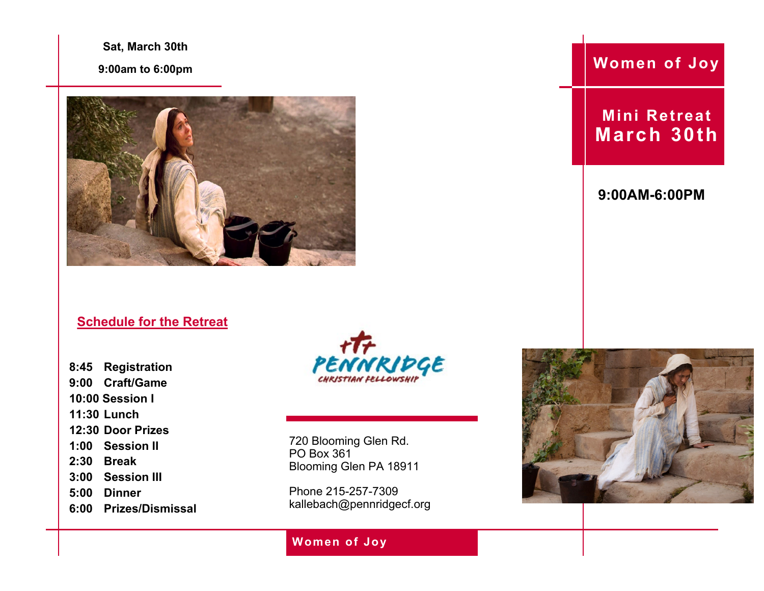**Sat, March 30th**

**9:00am to 6:00pm**



### **Schedule for the Retreat**

**8:45 Registration 9:00 Craft/Game 10:00 Session I 11:30 Lunch 12:30 Door Prizes 1:00 Session II 2:30 Break 3:00 Session III 5:00 Dinner 6:00 Prizes/Dismissal**



720 Blooming Glen Rd. PO Box 361 Blooming Glen PA 18911

Phone 215-257-7309 kallebach@pennridgecf.org

## **Women of Joy**

**Women of Joy**

**Mini Retreat March 30th**

**9:00AM-6:00PM**